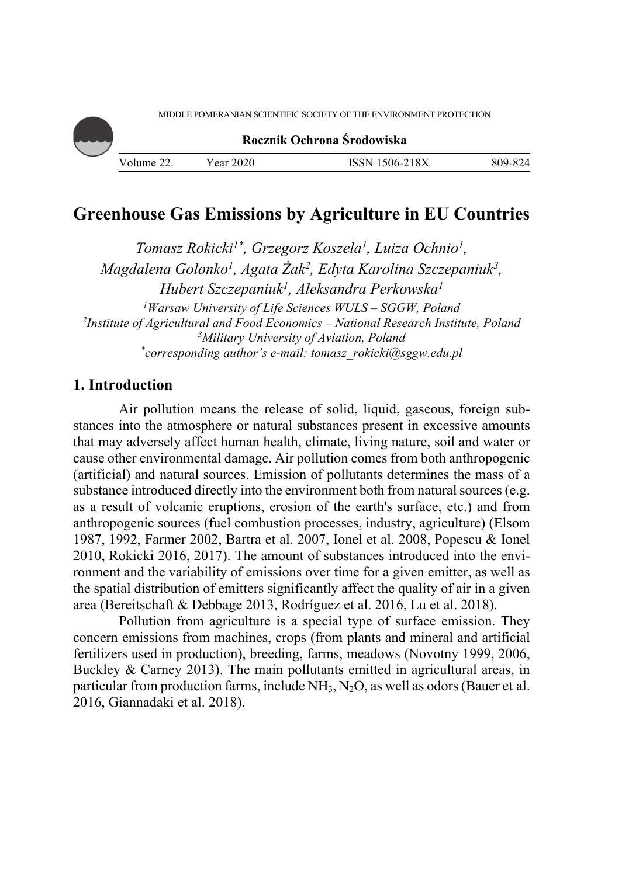

**Rocznik Ochrona Środowiska**

# **Greenhouse Gas Emissions by Agriculture in EU Countries**

*Tomasz Rokicki1\*, Grzegorz Koszela1 , Luiza Ochnio1, Magdalena Golonko1, Agata Żak2, Edyta Karolina Szczepaniuk3, Hubert Szczepaniuk1, Aleksandra Perkowska1* <sup>1</sup> *Warsaw University of Life Sciences WULS – SGGW, Poland*<br><sup>2</sup> Institute of Agricultural and Eood Economics – National Research Institu *Institute of Agricultural and Food Economics – National Research Institute, Poland 3 Military University of Aviation, Poland \* corresponding author's e-mail: tomasz\_rokicki@sggw.edu.pl* 

# **1. Introduction**

Air pollution means the release of solid, liquid, gaseous, foreign substances into the atmosphere or natural substances present in excessive amounts that may adversely affect human health, climate, living nature, soil and water or cause other environmental damage. Air pollution comes from both anthropogenic (artificial) and natural sources. Emission of pollutants determines the mass of a substance introduced directly into the environment both from natural sources (e.g. as a result of volcanic eruptions, erosion of the earth's surface, etc.) and from anthropogenic sources (fuel combustion processes, industry, agriculture) (Elsom 1987, 1992, Farmer 2002, Bartra et al. 2007, Ionel et al. 2008, Popescu & Ionel 2010, Rokicki 2016, 2017). The amount of substances introduced into the environment and the variability of emissions over time for a given emitter, as well as the spatial distribution of emitters significantly affect the quality of air in a given area (Bereitschaft & Debbage 2013, Rodríguez et al. 2016, Lu et al. 2018).

Pollution from agriculture is a special type of surface emission. They concern emissions from machines, crops (from plants and mineral and artificial fertilizers used in production), breeding, farms, meadows (Novotny 1999, 2006, Buckley & Carney 2013). The main pollutants emitted in agricultural areas, in particular from production farms, include  $NH<sub>3</sub>$ , N<sub>2</sub>O, as well as odors (Bauer et al. 2016, Giannadaki et al. 2018).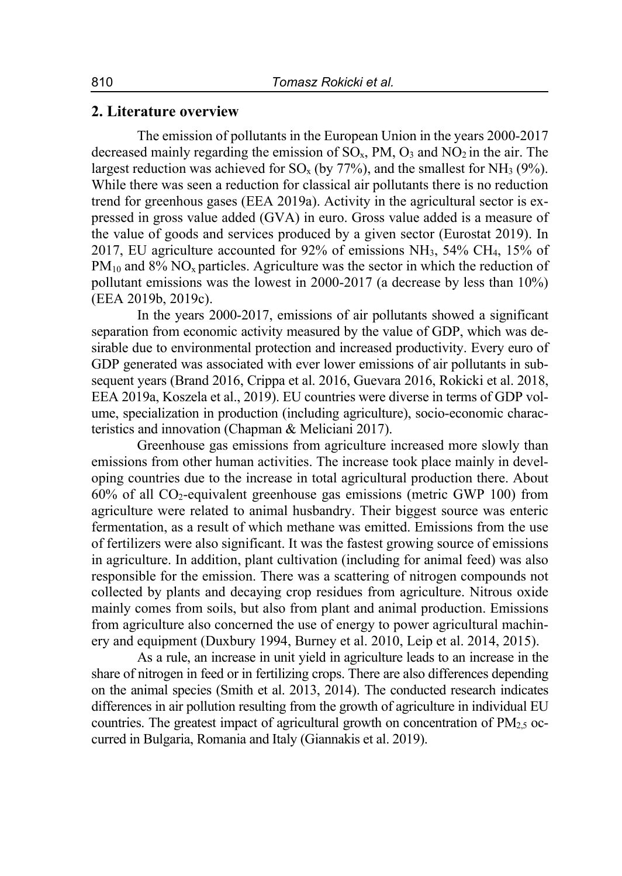### **2. Literature overview**

The emission of pollutants in the European Union in the years 2000-2017 decreased mainly regarding the emission of  $SO<sub>x</sub>$ , PM,  $O<sub>3</sub>$  and  $NO<sub>2</sub>$  in the air. The largest reduction was achieved for  $SO_x$  (by 77%), and the smallest for NH<sub>3</sub> (9%). While there was seen a reduction for classical air pollutants there is no reduction trend for greenhous gases (EEA 2019a). Activity in the agricultural sector is expressed in gross value added (GVA) in euro. Gross value added is a measure of the value of goods and services produced by a given sector (Eurostat 2019). In 2017, EU agriculture accounted for 92% of emissions NH3, 54% CH4, 15% of  $PM_{10}$  and 8% NO<sub>x</sub> particles. Agriculture was the sector in which the reduction of pollutant emissions was the lowest in 2000-2017 (a decrease by less than 10%) (EEA 2019b, 2019c).

In the years 2000-2017, emissions of air pollutants showed a significant separation from economic activity measured by the value of GDP, which was desirable due to environmental protection and increased productivity. Every euro of GDP generated was associated with ever lower emissions of air pollutants in subsequent years (Brand 2016, Crippa et al. 2016, Guevara 2016, Rokicki et al. 2018, EEA 2019a, Koszela et al., 2019). EU countries were diverse in terms of GDP volume, specialization in production (including agriculture), socio-economic characteristics and innovation (Chapman & Meliciani 2017).

Greenhouse gas emissions from agriculture increased more slowly than emissions from other human activities. The increase took place mainly in developing countries due to the increase in total agricultural production there. About  $60\%$  of all CO<sub>2</sub>-equivalent greenhouse gas emissions (metric GWP 100) from agriculture were related to animal husbandry. Their biggest source was enteric fermentation, as a result of which methane was emitted. Emissions from the use of fertilizers were also significant. It was the fastest growing source of emissions in agriculture. In addition, plant cultivation (including for animal feed) was also responsible for the emission. There was a scattering of nitrogen compounds not collected by plants and decaying crop residues from agriculture. Nitrous oxide mainly comes from soils, but also from plant and animal production. Emissions from agriculture also concerned the use of energy to power agricultural machinery and equipment (Duxbury 1994, Burney et al. 2010, Leip et al. 2014, 2015).

As a rule, an increase in unit yield in agriculture leads to an increase in the share of nitrogen in feed or in fertilizing crops. There are also differences depending on the animal species (Smith et al. 2013, 2014). The conducted research indicates differences in air pollution resulting from the growth of agriculture in individual EU countries. The greatest impact of agricultural growth on concentration of  $PM_{2,5}$  occurred in Bulgaria, Romania and Italy (Giannakis et al. 2019).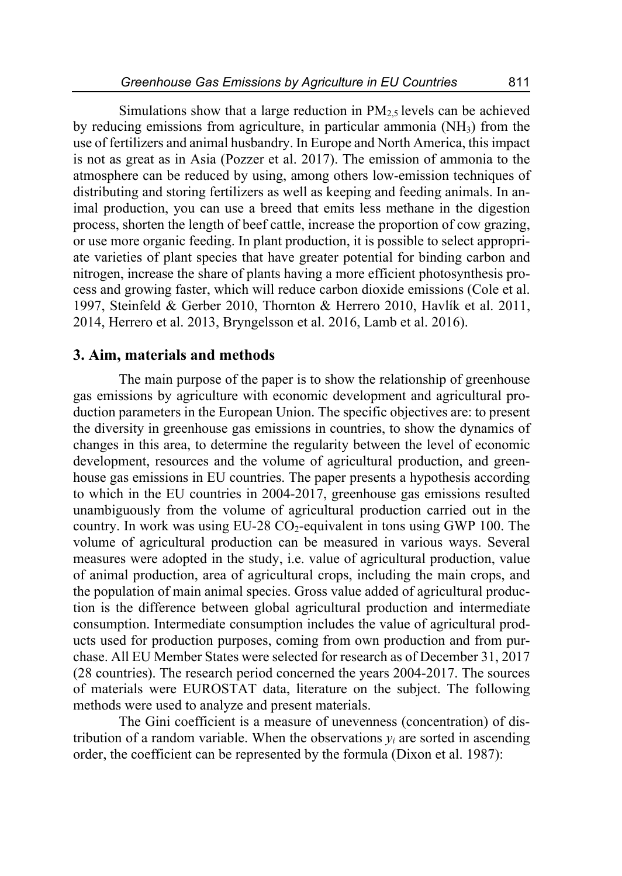Simulations show that a large reduction in  $PM<sub>2.5</sub>$  levels can be achieved by reducing emissions from agriculture, in particular ammonia (NH3) from the use of fertilizers and animal husbandry. In Europe and North America, this impact is not as great as in Asia (Pozzer et al. 2017). The emission of ammonia to the atmosphere can be reduced by using, among others low-emission techniques of distributing and storing fertilizers as well as keeping and feeding animals. In animal production, you can use a breed that emits less methane in the digestion process, shorten the length of beef cattle, increase the proportion of cow grazing, or use more organic feeding. In plant production, it is possible to select appropriate varieties of plant species that have greater potential for binding carbon and nitrogen, increase the share of plants having a more efficient photosynthesis process and growing faster, which will reduce carbon dioxide emissions (Cole et al. 1997, Steinfeld & Gerber 2010, Thornton & Herrero 2010, Havlík et al. 2011, 2014, Herrero et al. 2013, Bryngelsson et al. 2016, Lamb et al. 2016).

### **3. Aim, materials and methods**

The main purpose of the paper is to show the relationship of greenhouse gas emissions by agriculture with economic development and agricultural production parameters in the European Union. The specific objectives are: to present the diversity in greenhouse gas emissions in countries, to show the dynamics of changes in this area, to determine the regularity between the level of economic development, resources and the volume of agricultural production, and greenhouse gas emissions in EU countries. The paper presents a hypothesis according to which in the EU countries in 2004-2017, greenhouse gas emissions resulted unambiguously from the volume of agricultural production carried out in the country. In work was using  $EU-28 CO_2$ -equivalent in tons using GWP 100. The volume of agricultural production can be measured in various ways. Several measures were adopted in the study, i.e. value of agricultural production, value of animal production, area of agricultural crops, including the main crops, and the population of main animal species. Gross value added of agricultural production is the difference between global agricultural production and intermediate consumption. Intermediate consumption includes the value of agricultural products used for production purposes, coming from own production and from purchase. All EU Member States were selected for research as of December 31, 2017 (28 countries). The research period concerned the years 2004-2017. The sources of materials were EUROSTAT data, literature on the subject. The following methods were used to analyze and present materials.

The Gini coefficient is a measure of unevenness (concentration) of distribution of a random variable. When the observations  $y_i$  are sorted in ascending order, the coefficient can be represented by the formula (Dixon et al. 1987):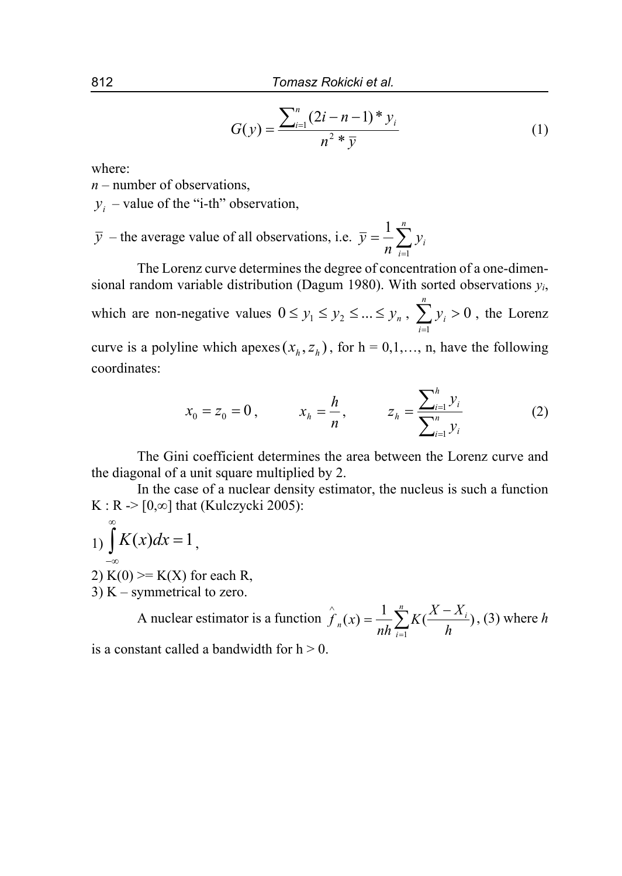$$
G(y) = \frac{\sum_{i=1}^{n} (2i - n - 1) * y_i}{n^2 * \overline{y}}
$$
 (1)

where:

*n* – number of observations,

 $y_i$  – value of the "i-th" observation,

 $\overline{y}$  – the average value of all observations, i.e.  $\overline{y} = \frac{1}{n} \sum_{i=1}^{n}$ *i*  $\frac{1}{n}\sum_{i=1}^{n}y_i$ *y* 1 1

The Lorenz curve determines the degree of concentration of a one-dimensional random variable distribution (Dagum 1980). With sorted observations *yi*, which are non-negative values  $0 \le y_1 \le y_2 \le ... \le y_n$ ,  $\sum y_i > 0$  $\sum_{i=1}^{n} y_{i}$ *i*  $y_i > 0$ , the Lorenz curve is a polyline which apexes  $(x_h, z_h)$ , for  $h = 0, 1, \dots, n$ , have the following coordinates:

$$
x_0 = z_0 = 0, \qquad x_h = \frac{h}{n}, \qquad z_h = \frac{\sum_{i=1}^h y_i}{\sum_{i=1}^n y_i}
$$
 (2)

The Gini coefficient determines the area between the Lorenz curve and the diagonal of a unit square multiplied by 2.

In the case of a nuclear density estimator, the nucleus is such a function K : R  $\ge$  [0, $\infty$ ] that (Kulczycki 2005):

 $1) \int$  $\infty$  $-\infty$  $K(x)dx = 1$ ,

2) K(0) >  $K(X)$  for each R,

3)  $K$  – symmetrical to zero.

A nuclear estimator is a function 
$$
\hat{f}_n(x) = \frac{1}{nh} \sum_{i=1}^n K(\frac{X - X_i}{h})
$$
, (3) where *h*

is a constant called a bandwidth for  $h > 0$ .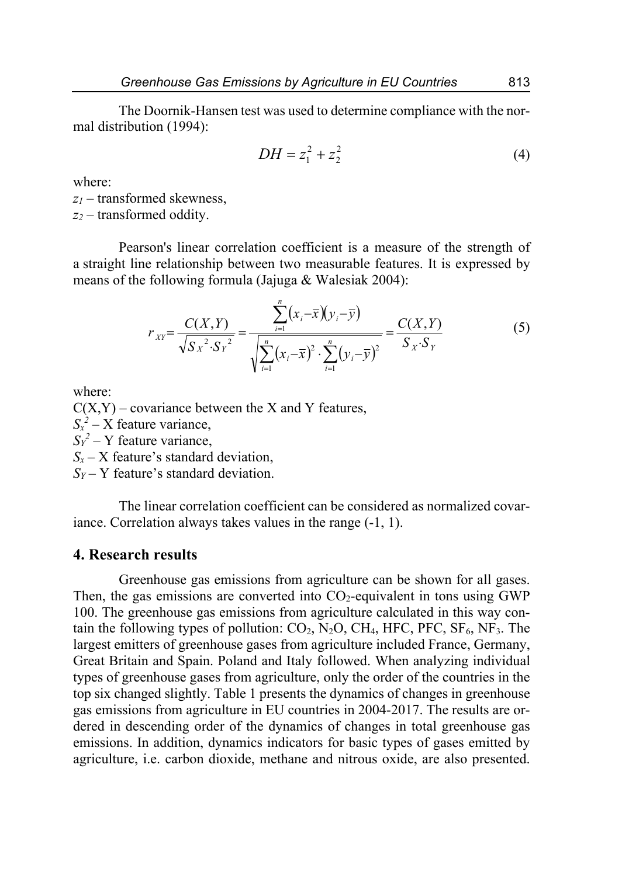The Doornik-Hansen test was used to determine compliance with the normal distribution (1994):

$$
DH = z_1^2 + z_2^2 \tag{4}
$$

where:

*z1* – transformed skewness, *z2* – transformed oddity.

Pearson's linear correlation coefficient is a measure of the strength of a straight line relationship between two measurable features. It is expressed by means of the following formula (Jajuga & Walesiak 2004):

$$
r_{XY} = \frac{C(X,Y)}{\sqrt{S_X^2 \cdot S_Y^2}} = \frac{\sum_{i=1}^n (x_i - \bar{x})(y_i - \bar{y})}{\sqrt{\sum_{i=1}^n (x_i - \bar{x})^2 \cdot \sum_{i=1}^n (y_i - \bar{y})^2}} = \frac{C(X,Y)}{S_X \cdot S_Y}
$$
(5)

where:

 $C(X, Y)$  – covariance between the X and Y features,

 $S_x^2$  – X feature variance,

 $S_Y^2$  – Y feature variance,

 $S_r - X$  feature's standard deviation.

*SY* – Y feature's standard deviation.

The linear correlation coefficient can be considered as normalized covariance. Correlation always takes values in the range (-1, 1).

## **4. Research results**

Greenhouse gas emissions from agriculture can be shown for all gases. Then, the gas emissions are converted into  $CO<sub>2</sub>$ -equivalent in tons using GWP 100. The greenhouse gas emissions from agriculture calculated in this way contain the following types of pollution:  $CO_2$ , N<sub>2</sub>O, CH<sub>4</sub>, HFC, PFC, SF<sub>6</sub>, NF<sub>3</sub>. The largest emitters of greenhouse gases from agriculture included France, Germany, Great Britain and Spain. Poland and Italy followed. When analyzing individual types of greenhouse gases from agriculture, only the order of the countries in the top six changed slightly. Table 1 presents the dynamics of changes in greenhouse gas emissions from agriculture in EU countries in 2004-2017. The results are ordered in descending order of the dynamics of changes in total greenhouse gas emissions. In addition, dynamics indicators for basic types of gases emitted by agriculture, i.e. carbon dioxide, methane and nitrous oxide, are also presented.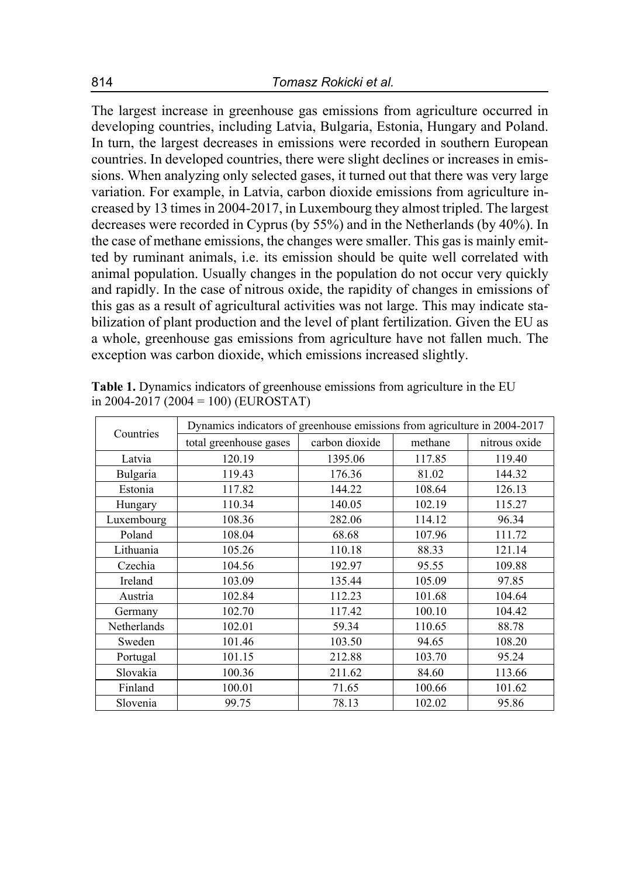The largest increase in greenhouse gas emissions from agriculture occurred in developing countries, including Latvia, Bulgaria, Estonia, Hungary and Poland. In turn, the largest decreases in emissions were recorded in southern European countries. In developed countries, there were slight declines or increases in emissions. When analyzing only selected gases, it turned out that there was very large variation. For example, in Latvia, carbon dioxide emissions from agriculture increased by 13 times in 2004-2017, in Luxembourg they almost tripled. The largest decreases were recorded in Cyprus (by 55%) and in the Netherlands (by 40%). In the case of methane emissions, the changes were smaller. This gas is mainly emitted by ruminant animals, i.e. its emission should be quite well correlated with animal population. Usually changes in the population do not occur very quickly and rapidly. In the case of nitrous oxide, the rapidity of changes in emissions of this gas as a result of agricultural activities was not large. This may indicate stabilization of plant production and the level of plant fertilization. Given the EU as a whole, greenhouse gas emissions from agriculture have not fallen much. The exception was carbon dioxide, which emissions increased slightly.

| Countries   | Dynamics indicators of greenhouse emissions from agriculture in 2004-2017 |                |         |               |  |
|-------------|---------------------------------------------------------------------------|----------------|---------|---------------|--|
|             | total greenhouse gases                                                    | carbon dioxide | methane | nitrous oxide |  |
| Latvia      | 120.19                                                                    | 1395.06        | 117.85  | 119.40        |  |
| Bulgaria    | 119.43                                                                    | 176.36         | 81.02   | 144.32        |  |
| Estonia     | 117.82                                                                    | 144.22         | 108.64  | 126.13        |  |
| Hungary     | 110.34                                                                    | 140.05         | 102.19  | 115.27        |  |
| Luxembourg  | 108.36                                                                    | 282.06         | 114.12  | 96.34         |  |
| Poland      | 108.04                                                                    | 68.68          | 107.96  | 111.72        |  |
| Lithuania   | 105.26                                                                    | 110.18         | 88.33   | 121.14        |  |
| Czechia     | 104.56                                                                    | 192.97         | 95.55   | 109.88        |  |
| Ireland     | 103.09                                                                    | 135.44         | 105.09  | 97.85         |  |
| Austria     | 102.84                                                                    | 112.23         | 101.68  | 104.64        |  |
| Germany     | 102.70                                                                    | 117.42         | 100.10  | 104.42        |  |
| Netherlands | 102.01                                                                    | 59.34          | 110.65  | 88.78         |  |
| Sweden      | 101.46                                                                    | 103.50         | 94.65   | 108.20        |  |
| Portugal    | 101.15                                                                    | 212.88         | 103.70  | 95.24         |  |
| Slovakia    | 100.36                                                                    | 211.62         | 84.60   | 113.66        |  |
| Finland     | 100.01                                                                    | 71.65          | 100.66  | 101.62        |  |
| Slovenia    | 99.75                                                                     | 78.13          | 102.02  | 95.86         |  |

**Table 1.** Dynamics indicators of greenhouse emissions from agriculture in the EU in 2004-2017 (2004 = 100) (EUROSTAT)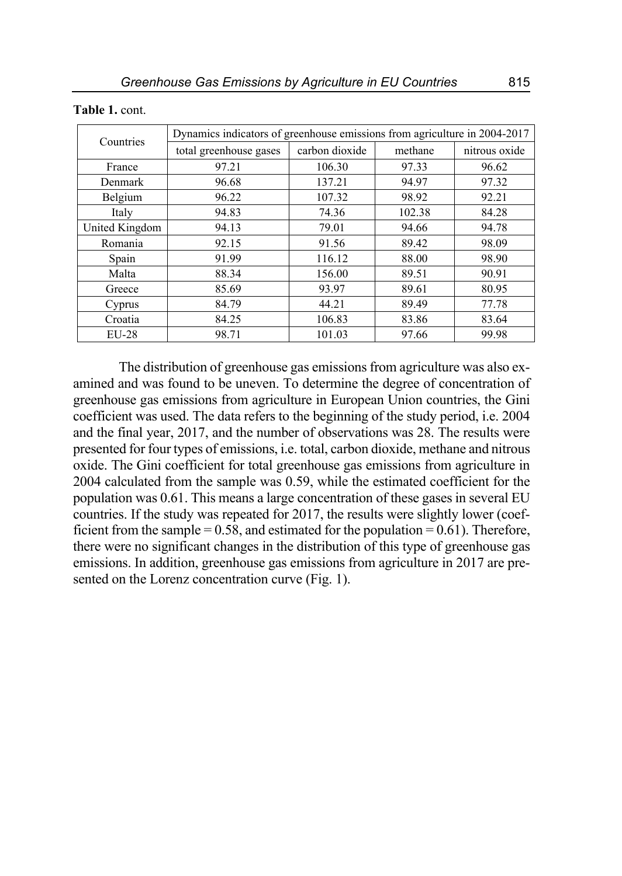| Countries      | Dynamics indicators of greenhouse emissions from agriculture in 2004-2017 |                |         |               |  |  |
|----------------|---------------------------------------------------------------------------|----------------|---------|---------------|--|--|
|                | total greenhouse gases                                                    | carbon dioxide | methane | nitrous oxide |  |  |
| France         | 97.21                                                                     | 106.30         | 97.33   | 96.62         |  |  |
| Denmark        | 96.68                                                                     | 137.21         | 94.97   | 97.32         |  |  |
| Belgium        | 96.22                                                                     | 107.32         | 98.92   | 92.21         |  |  |
| Italy          | 94.83                                                                     | 74.36          | 102.38  | 84.28         |  |  |
| United Kingdom | 94.13                                                                     | 79.01          | 94.66   | 94.78         |  |  |
| Romania        | 92.15                                                                     | 91.56          | 89.42   | 98.09         |  |  |
| Spain          | 91.99                                                                     | 116.12         | 88.00   | 98.90         |  |  |
| Malta          | 88.34                                                                     | 156.00         | 89.51   | 90.91         |  |  |
| Greece         | 85.69                                                                     | 93.97          | 89.61   | 80.95         |  |  |
| Cyprus         | 84.79                                                                     | 44.21          | 89.49   | 77.78         |  |  |
| Croatia        | 84.25                                                                     | 106.83         | 83.86   | 83.64         |  |  |
| <b>EU-28</b>   | 98.71                                                                     | 101.03         | 97.66   | 99.98         |  |  |

#### **Table 1.** cont.

The distribution of greenhouse gas emissions from agriculture was also examined and was found to be uneven. To determine the degree of concentration of greenhouse gas emissions from agriculture in European Union countries, the Gini coefficient was used. The data refers to the beginning of the study period, i.e. 2004 and the final year, 2017, and the number of observations was 28. The results were presented for four types of emissions, i.e. total, carbon dioxide, methane and nitrous oxide. The Gini coefficient for total greenhouse gas emissions from agriculture in 2004 calculated from the sample was 0.59, while the estimated coefficient for the population was 0.61. This means a large concentration of these gases in several EU countries. If the study was repeated for 2017, the results were slightly lower (coefficient from the sample  $= 0.58$ , and estimated for the population  $= 0.61$ ). Therefore, there were no significant changes in the distribution of this type of greenhouse gas emissions. In addition, greenhouse gas emissions from agriculture in 2017 are presented on the Lorenz concentration curve (Fig. 1).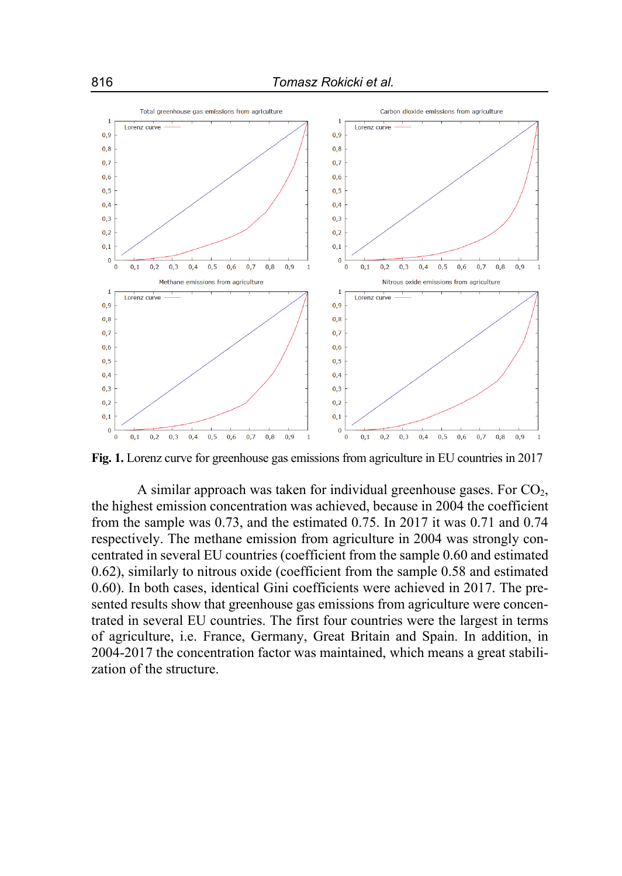

**Fig. 1.** Lorenz curve for greenhouse gas emissions from agriculture in EU countries in 2017

A similar approach was taken for individual greenhouse gases. For  $CO<sub>2</sub>$ , the highest emission concentration was achieved, because in 2004 the coefficient from the sample was 0.73, and the estimated 0.75. In 2017 it was 0.71 and 0.74 respectively. The methane emission from agriculture in 2004 was strongly concentrated in several EU countries (coefficient from the sample 0.60 and estimated 0.62), similarly to nitrous oxide (coefficient from the sample 0.58 and estimated 0.60). In both cases, identical Gini coefficients were achieved in 2017. The presented results show that greenhouse gas emissions from agriculture were concentrated in several EU countries. The first four countries were the largest in terms of agriculture, i.e. France, Germany, Great Britain and Spain. In addition, in 2004-2017 the concentration factor was maintained, which means a great stabilization of the structure.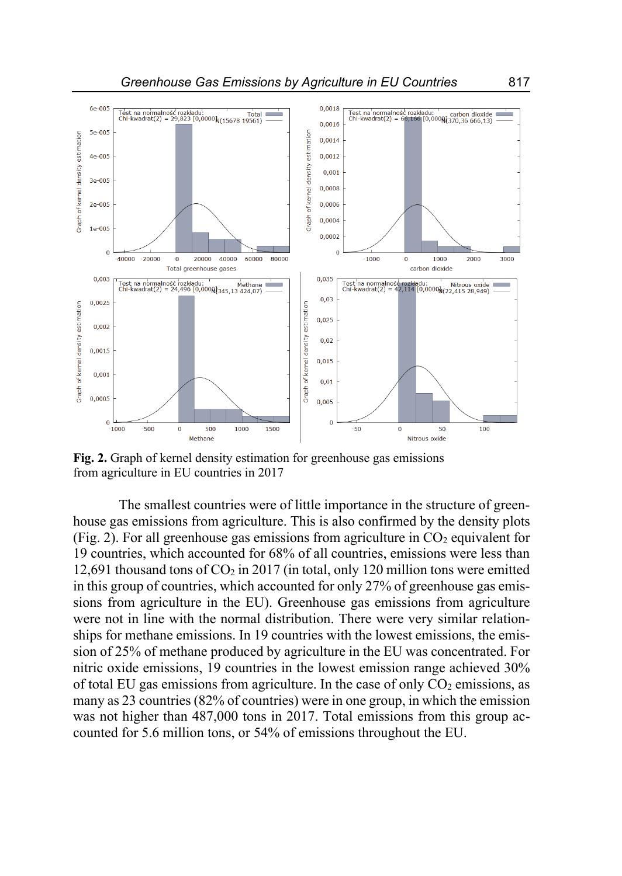

 $0.005$ 

 $\Omega$ 

 $-50$ 

 $\overline{0}$ 

50

Nitrous oxide

100

**Fig. 2.** Graph of kernel density estimation for greenhouse gas emissions from agriculture in EU countries in 2017

1500

1000

 $0.0005$ 

 $\Omega$ 

-<br>1000-

 $-500$ 

 $\overline{0}$ 

500

Methane

The smallest countries were of little importance in the structure of greenhouse gas emissions from agriculture. This is also confirmed by the density plots (Fig. 2). For all greenhouse gas emissions from agriculture in  $CO<sub>2</sub>$  equivalent for 19 countries, which accounted for 68% of all countries, emissions were less than 12,691 thousand tons of  $CO<sub>2</sub>$  in 2017 (in total, only 120 million tons were emitted in this group of countries, which accounted for only 27% of greenhouse gas emissions from agriculture in the EU). Greenhouse gas emissions from agriculture were not in line with the normal distribution. There were very similar relationships for methane emissions. In 19 countries with the lowest emissions, the emission of 25% of methane produced by agriculture in the EU was concentrated. For nitric oxide emissions, 19 countries in the lowest emission range achieved 30% of total EU gas emissions from agriculture. In the case of only  $CO<sub>2</sub>$  emissions, as many as 23 countries (82% of countries) were in one group, in which the emission was not higher than 487,000 tons in 2017. Total emissions from this group accounted for 5.6 million tons, or 54% of emissions throughout the EU.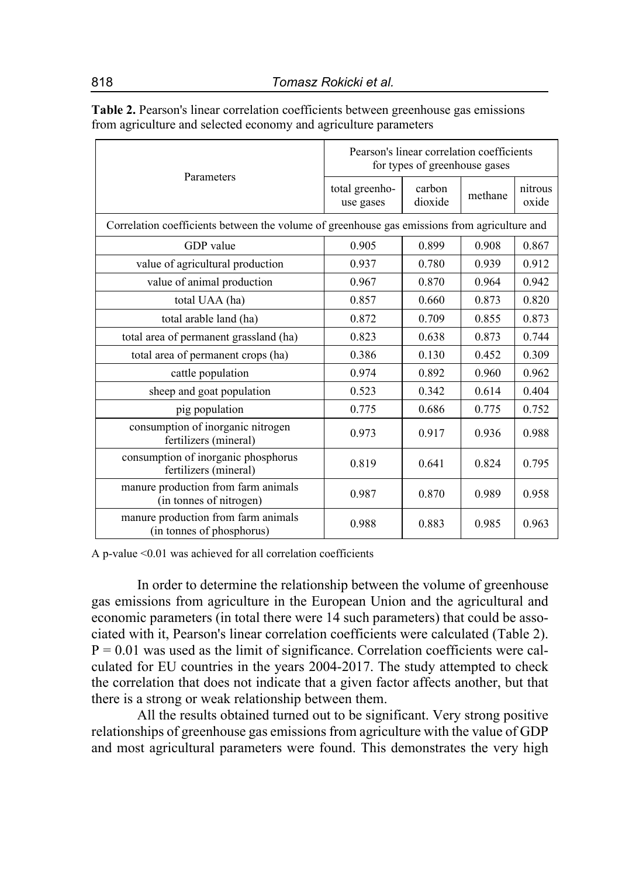| Parameters                                                                                   | Pearson's linear correlation coefficients<br>for types of greenhouse gases |                   |         |                  |  |  |  |  |  |
|----------------------------------------------------------------------------------------------|----------------------------------------------------------------------------|-------------------|---------|------------------|--|--|--|--|--|
|                                                                                              | total greenho-<br>use gases                                                | carbon<br>dioxide | methane | nitrous<br>oxide |  |  |  |  |  |
| Correlation coefficients between the volume of greenhouse gas emissions from agriculture and |                                                                            |                   |         |                  |  |  |  |  |  |
| GDP value                                                                                    | 0.905                                                                      | 0.899             | 0.908   | 0.867            |  |  |  |  |  |
| value of agricultural production                                                             | 0.937                                                                      | 0.780             | 0.939   | 0.912            |  |  |  |  |  |
| value of animal production                                                                   | 0.967                                                                      | 0.870             | 0.964   | 0.942            |  |  |  |  |  |
| total UAA (ha)                                                                               | 0.857                                                                      | 0.660             | 0.873   | 0.820            |  |  |  |  |  |
| total arable land (ha)                                                                       | 0.872                                                                      | 0.709             | 0.855   | 0.873            |  |  |  |  |  |
| total area of permanent grassland (ha)                                                       | 0.823                                                                      | 0.638             | 0.873   | 0.744            |  |  |  |  |  |
| total area of permanent crops (ha)                                                           | 0.386                                                                      | 0.130             | 0.452   | 0.309            |  |  |  |  |  |
| cattle population                                                                            | 0.974                                                                      | 0.892             | 0.960   | 0.962            |  |  |  |  |  |
| sheep and goat population                                                                    | 0.523                                                                      | 0.342             | 0.614   | 0.404            |  |  |  |  |  |
| pig population                                                                               | 0.775                                                                      | 0.686             | 0.775   | 0.752            |  |  |  |  |  |
| consumption of inorganic nitrogen<br>fertilizers (mineral)                                   | 0.973                                                                      | 0.917             | 0.936   | 0.988            |  |  |  |  |  |
| consumption of inorganic phosphorus<br>fertilizers (mineral)                                 | 0.819                                                                      | 0.641             | 0.824   | 0.795            |  |  |  |  |  |
| manure production from farm animals<br>(in tonnes of nitrogen)                               | 0.987                                                                      | 0.870             | 0.989   | 0.958            |  |  |  |  |  |
| manure production from farm animals<br>(in tonnes of phosphorus)                             | 0.988                                                                      | 0.883             | 0.985   | 0.963            |  |  |  |  |  |

**Table 2.** Pearson's linear correlation coefficients between greenhouse gas emissions from agriculture and selected economy and agriculture parameters

A p-value < 0.01 was achieved for all correlation coefficients

In order to determine the relationship between the volume of greenhouse gas emissions from agriculture in the European Union and the agricultural and economic parameters (in total there were 14 such parameters) that could be associated with it, Pearson's linear correlation coefficients were calculated (Table 2).  $P = 0.01$  was used as the limit of significance. Correlation coefficients were calculated for EU countries in the years 2004-2017. The study attempted to check the correlation that does not indicate that a given factor affects another, but that there is a strong or weak relationship between them.

All the results obtained turned out to be significant. Very strong positive relationships of greenhouse gas emissions from agriculture with the value of GDP and most agricultural parameters were found. This demonstrates the very high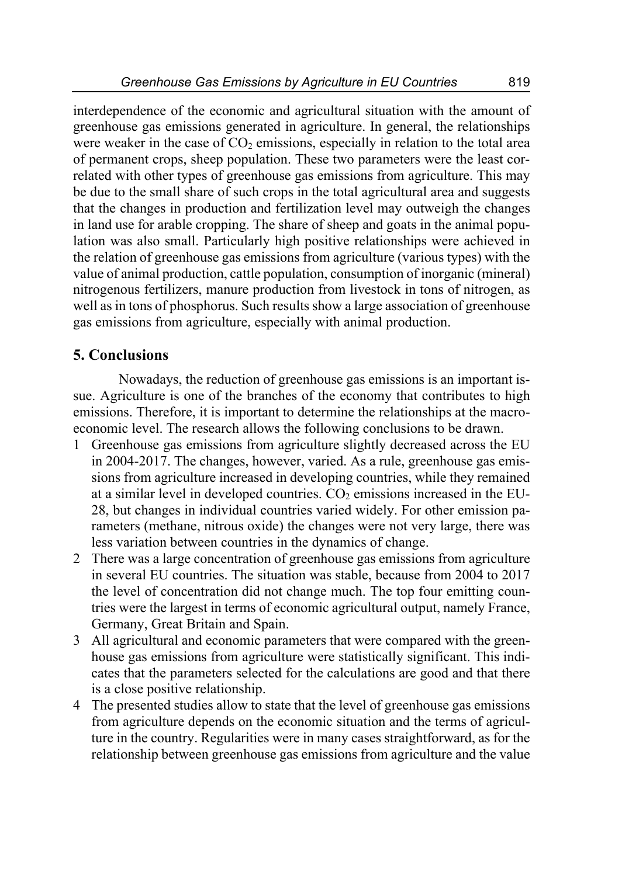interdependence of the economic and agricultural situation with the amount of greenhouse gas emissions generated in agriculture. In general, the relationships were weaker in the case of  $CO<sub>2</sub>$  emissions, especially in relation to the total area of permanent crops, sheep population. These two parameters were the least correlated with other types of greenhouse gas emissions from agriculture. This may be due to the small share of such crops in the total agricultural area and suggests that the changes in production and fertilization level may outweigh the changes in land use for arable cropping. The share of sheep and goats in the animal population was also small. Particularly high positive relationships were achieved in the relation of greenhouse gas emissions from agriculture (various types) with the value of animal production, cattle population, consumption of inorganic (mineral) nitrogenous fertilizers, manure production from livestock in tons of nitrogen, as well as in tons of phosphorus. Such results show a large association of greenhouse gas emissions from agriculture, especially with animal production.

# **5. Conclusions**

Nowadays, the reduction of greenhouse gas emissions is an important issue. Agriculture is one of the branches of the economy that contributes to high emissions. Therefore, it is important to determine the relationships at the macroeconomic level. The research allows the following conclusions to be drawn.

- 1 Greenhouse gas emissions from agriculture slightly decreased across the EU in 2004-2017. The changes, however, varied. As a rule, greenhouse gas emissions from agriculture increased in developing countries, while they remained at a similar level in developed countries.  $CO<sub>2</sub>$  emissions increased in the EU-28, but changes in individual countries varied widely. For other emission parameters (methane, nitrous oxide) the changes were not very large, there was less variation between countries in the dynamics of change.
- 2 There was a large concentration of greenhouse gas emissions from agriculture in several EU countries. The situation was stable, because from 2004 to 2017 the level of concentration did not change much. The top four emitting countries were the largest in terms of economic agricultural output, namely France, Germany, Great Britain and Spain.
- 3 All agricultural and economic parameters that were compared with the greenhouse gas emissions from agriculture were statistically significant. This indicates that the parameters selected for the calculations are good and that there is a close positive relationship.
- 4 The presented studies allow to state that the level of greenhouse gas emissions from agriculture depends on the economic situation and the terms of agriculture in the country. Regularities were in many cases straightforward, as for the relationship between greenhouse gas emissions from agriculture and the value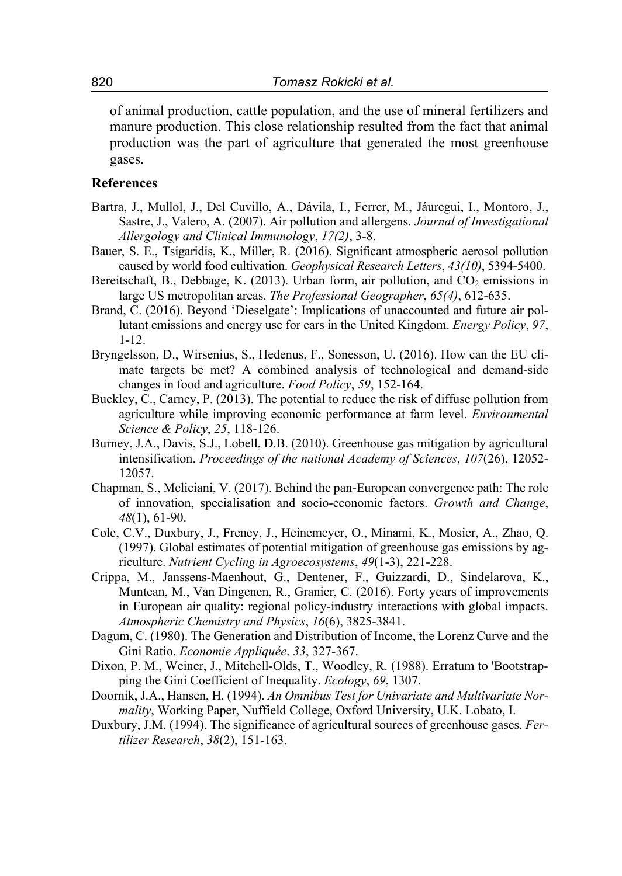of animal production, cattle population, and the use of mineral fertilizers and manure production. This close relationship resulted from the fact that animal production was the part of agriculture that generated the most greenhouse gases.

### **References**

- Bartra, J., Mullol, J., Del Cuvillo, A., Dávila, I., Ferrer, M., Jáuregui, I., Montoro, J., Sastre, J., Valero, A. (2007). Air pollution and allergens. *Journal of Investigational Allergology and Clinical Immunology*, *17(2)*, 3-8.
- Bauer, S. E., Tsigaridis, K., Miller, R. (2016). Significant atmospheric aerosol pollution caused by world food cultivation. *Geophysical Research Letters*, *43(10)*, 5394-5400.
- Bereitschaft, B., Debbage, K.  $(2013)$ . Urban form, air pollution, and  $CO<sub>2</sub>$  emissions in large US metropolitan areas. *The Professional Geographer*, *65(4)*, 612-635.
- Brand, C. (2016). Beyond 'Dieselgate': Implications of unaccounted and future air pollutant emissions and energy use for cars in the United Kingdom. *Energy Policy*, *97*, 1-12.
- Bryngelsson, D., Wirsenius, S., Hedenus, F., Sonesson, U. (2016). How can the EU climate targets be met? A combined analysis of technological and demand-side changes in food and agriculture. *Food Policy*, *59*, 152-164.
- Buckley, C., Carney, P. (2013). The potential to reduce the risk of diffuse pollution from agriculture while improving economic performance at farm level. *Environmental Science & Policy*, *25*, 118-126.
- Burney, J.A., Davis, S.J., Lobell, D.B. (2010). Greenhouse gas mitigation by agricultural intensification. *Proceedings of the national Academy of Sciences*, *107*(26), 12052- 12057.
- Chapman, S., Meliciani, V. (2017). Behind the pan‐European convergence path: The role of innovation, specialisation and socio‐economic factors. *Growth and Change*, *48*(1), 61-90.
- Cole, C.V., Duxbury, J., Freney, J., Heinemeyer, O., Minami, K., Mosier, A., Zhao, Q. (1997). Global estimates of potential mitigation of greenhouse gas emissions by agriculture. *Nutrient Cycling in Agroecosystems*, *49*(1-3), 221-228.
- Crippa, M., Janssens-Maenhout, G., Dentener, F., Guizzardi, D., Sindelarova, K., Muntean, M., Van Dingenen, R., Granier, C. (2016). Forty years of improvements in European air quality: regional policy-industry interactions with global impacts. *Atmospheric Chemistry and Physics*, *16*(6), 3825-3841.
- Dagum, C. (1980). The Generation and Distribution of Income, the Lorenz Curve and the Gini Ratio. *Economie Appliquée*. *33*, 327-367.
- Dixon, P. M., Weiner, J., Mitchell-Olds, T., Woodley, R. (1988). Erratum to 'Bootstrapping the Gini Coefficient of Inequality. *Ecology*, *69*, 1307.
- Doornik, J.A., Hansen, H. (1994). *An Omnibus Test for Univariate and Multivariate Normality*, Working Paper, Nuffield College, Oxford University, U.K. Lobato, I.
- Duxbury, J.M. (1994). The significance of agricultural sources of greenhouse gases. *Fertilizer Research*, *38*(2), 151-163.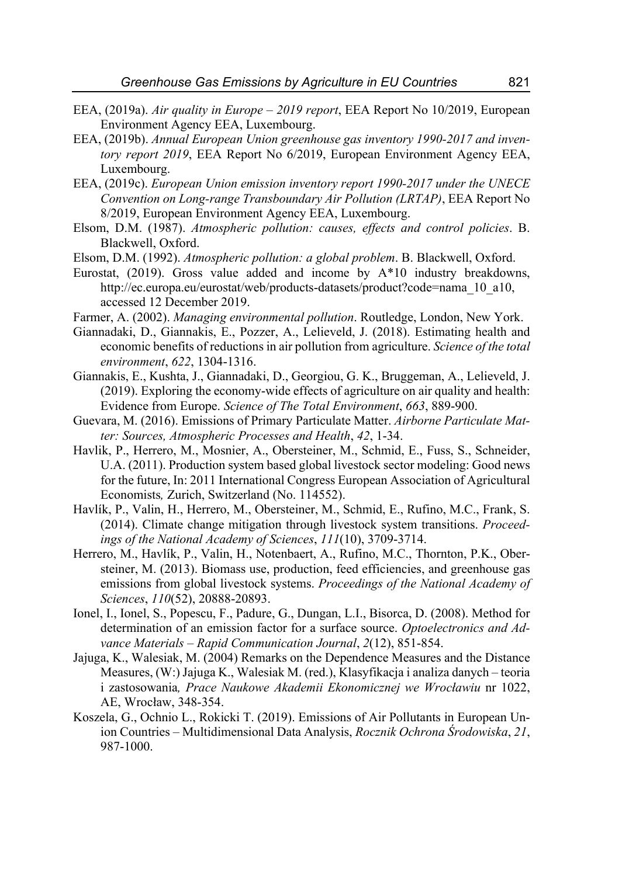- EEA, (2019a). *Air quality in Europe 2019 report*, EEA Report No 10/2019, European Environment Agency EEA, Luxembourg.
- EEA, (2019b). *Annual European Union greenhouse gas inventory 1990-2017 and inventory report 2019*, EEA Report No 6/2019, European Environment Agency EEA, Luxembourg.
- EEA, (2019c). *European Union emission inventory report 1990-2017 under the UNECE Convention on Long-range Transboundary Air Pollution (LRTAP)*, EEA Report No 8/2019, European Environment Agency EEA, Luxembourg.
- Elsom, D.M. (1987). *Atmospheric pollution: causes, effects and control policies*. B. Blackwell, Oxford.
- Elsom, D.M. (1992). *Atmospheric pollution: a global problem*. B. Blackwell, Oxford.
- Eurostat, (2019). Gross value added and income by A\*10 industry breakdowns, http://ec.europa.eu/eurostat/web/products-datasets/product?code=nama\_10\_a10, accessed 12 December 2019.
- Farmer, A. (2002). *Managing environmental pollution*. Routledge, London, New York.
- Giannadaki, D., Giannakis, E., Pozzer, A., Lelieveld, J. (2018). Estimating health and economic benefits of reductions in air pollution from agriculture. *Science of the total environment*, *622*, 1304-1316.
- Giannakis, E., Kushta, J., Giannadaki, D., Georgiou, G. K., Bruggeman, A., Lelieveld, J. (2019). Exploring the economy-wide effects of agriculture on air quality and health: Evidence from Europe. *Science of The Total Environment*, *663*, 889-900.
- Guevara, M. (2016). Emissions of Primary Particulate Matter. *Airborne Particulate Matter: Sources, Atmospheric Processes and Health*, *42*, 1-34.
- Havlik, P., Herrero, M., Mosnier, A., Obersteiner, M., Schmid, E., Fuss, S., Schneider, U.A. (2011). Production system based global livestock sector modeling: Good news for the future, In: 2011 International Congress European Association of Agricultural Economists*,* Zurich, Switzerland (No. 114552).
- Havlík, P., Valin, H., Herrero, M., Obersteiner, M., Schmid, E., Rufino, M.C., Frank, S. (2014). Climate change mitigation through livestock system transitions. *Proceedings of the National Academy of Sciences*, *111*(10), 3709-3714.
- Herrero, M., Havlík, P., Valin, H., Notenbaert, A., Rufino, M.C., Thornton, P.K., Obersteiner, M. (2013). Biomass use, production, feed efficiencies, and greenhouse gas emissions from global livestock systems. *Proceedings of the National Academy of Sciences*, *110*(52), 20888-20893.
- Ionel, I., Ionel, S., Popescu, F., Padure, G., Dungan, L.I., Bisorca, D. (2008). Method for determination of an emission factor for a surface source. *Optoelectronics and Advance Materials – Rapid Communication Journal*, *2*(12), 851-854.
- Jajuga, K., Walesiak, M. (2004) Remarks on the Dependence Measures and the Distance Measures, (W:) Jajuga K., Walesiak M. (red.), Klasyfikacja i analiza danych *–* teoria i zastosowania*, Prace Naukowe Akademii Ekonomicznej we Wrocławiu* nr 1022, AE, Wrocław, 348-354.
- Koszela, G., Ochnio L., Rokicki T. (2019). Emissions of Air Pollutants in European Union Countries – Multidimensional Data Analysis, *Rocznik Ochrona Środowiska*, *21*, 987-1000.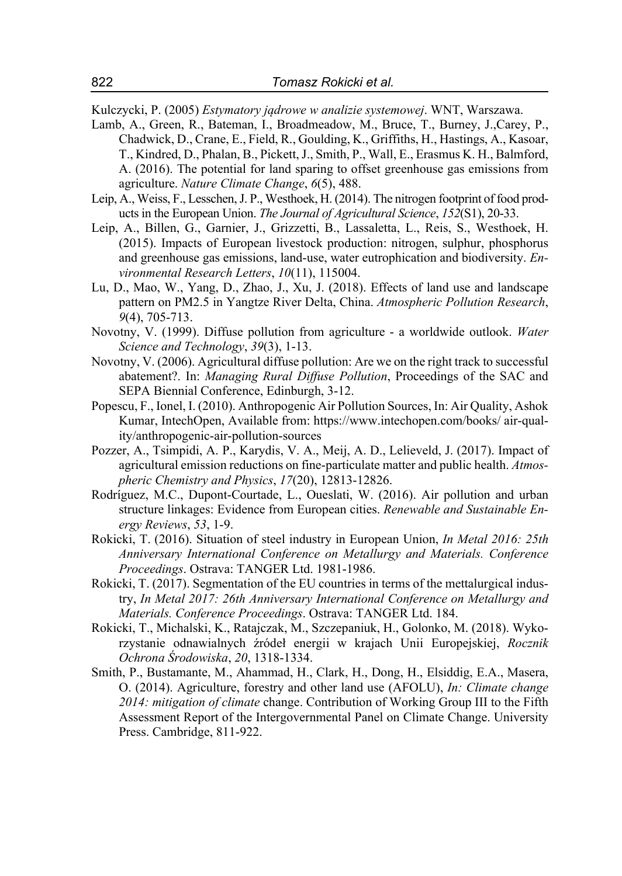Kulczycki, P. (2005) *Estymatory jądrowe w analizie systemowej*. WNT, Warszawa.

- Lamb, A., Green, R., Bateman, I., Broadmeadow, M., Bruce, T., Burney, J.,Carey, P., Chadwick, D., Crane, E., Field, R., Goulding, K., Griffiths, H., Hastings, A., Kasoar, T., Kindred, D., Phalan, B., Pickett, J., Smith, P., Wall, E., Erasmus K. H., Balmford, A. (2016). The potential for land sparing to offset greenhouse gas emissions from agriculture. *Nature Climate Change*, *6*(5), 488.
- Leip, A., Weiss, F., Lesschen, J. P., Westhoek, H. (2014). The nitrogen footprint of food products in the European Union. *The Journal of Agricultural Science*, *152*(S1), 20-33.
- Leip, A., Billen, G., Garnier, J., Grizzetti, B., Lassaletta, L., Reis, S., Westhoek, H. (2015). Impacts of European livestock production: nitrogen, sulphur, phosphorus and greenhouse gas emissions, land-use, water eutrophication and biodiversity. *Environmental Research Letters*, *10*(11), 115004.
- Lu, D., Mao, W., Yang, D., Zhao, J., Xu, J. (2018). Effects of land use and landscape pattern on PM2.5 in Yangtze River Delta, China. *Atmospheric Pollution Research*, *9*(4), 705-713.
- Novotny, V. (1999). Diffuse pollution from agriculture a worldwide outlook. *Water Science and Technology*, *39*(3), 1-13.
- Novotny, V. (2006). Agricultural diffuse pollution: Are we on the right track to successful abatement?. In: *Managing Rural Diffuse Pollution*, Proceedings of the SAC and SEPA Biennial Conference, Edinburgh, 3-12.
- Popescu, F., Ionel, I. (2010). Anthropogenic Air Pollution Sources, In: Air Quality, Ashok Kumar, IntechOpen, Available from: https://www.intechopen.com/books/ air-quality/anthropogenic-air-pollution-sources
- Pozzer, A., Tsimpidi, A. P., Karydis, V. A., Meij, A. D., Lelieveld, J. (2017). Impact of agricultural emission reductions on fine-particulate matter and public health. *Atmospheric Chemistry and Physics*, *17*(20), 12813-12826.
- Rodríguez, M.C., Dupont-Courtade, L., Oueslati, W. (2016). Air pollution and urban structure linkages: Evidence from European cities. *Renewable and Sustainable Energy Reviews*, *53*, 1-9.
- Rokicki, T. (2016). Situation of steel industry in European Union, *In Metal 2016: 25th Anniversary International Conference on Metallurgy and Materials. Conference Proceedings*. Ostrava: TANGER Ltd. 1981-1986.
- Rokicki, T. (2017). Segmentation of the EU countries in terms of the mettalurgical industry, *In Metal 2017: 26th Anniversary International Conference on Metallurgy and Materials. Conference Proceedings*. Ostrava: TANGER Ltd. 184.
- Rokicki, T., Michalski, K., Ratajczak, M., Szczepaniuk, H., Golonko, M. (2018). Wykorzystanie odnawialnych źródeł energii w krajach Unii Europejskiej, *Rocznik Ochrona Środowiska*, *20*, 1318-1334.
- Smith, P., Bustamante, M., Ahammad, H., Clark, H., Dong, H., Elsiddig, E.A., Masera, O. (2014). Agriculture, forestry and other land use (AFOLU), *In: Climate change 2014: mitigation of climate* change. Contribution of Working Group III to the Fifth Assessment Report of the Intergovernmental Panel on Climate Change. University Press. Cambridge, 811-922.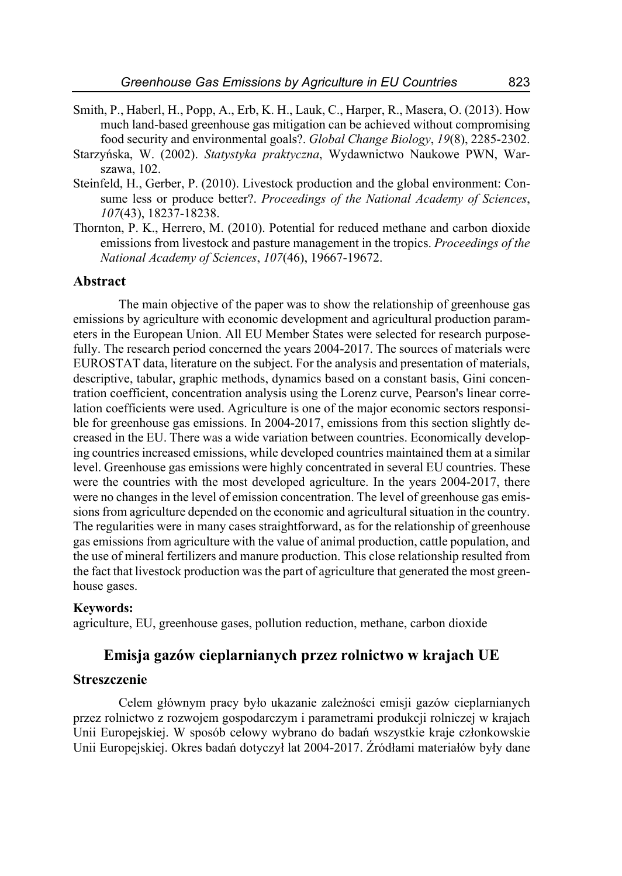- Smith, P., Haberl, H., Popp, A., Erb, K. H., Lauk, C., Harper, R., Masera, O. (2013). How much land‐based greenhouse gas mitigation can be achieved without compromising food security and environmental goals?. *Global Change Biology*, *19*(8), 2285-2302.
- Starzyńska, W. (2002). *Statystyka praktyczna*, Wydawnictwo Naukowe PWN, Warszawa, 102.
- Steinfeld, H., Gerber, P. (2010). Livestock production and the global environment: Consume less or produce better?. *Proceedings of the National Academy of Sciences*, *107*(43), 18237-18238.
- Thornton, P. K., Herrero, M. (2010). Potential for reduced methane and carbon dioxide emissions from livestock and pasture management in the tropics. *Proceedings of the National Academy of Sciences*, *107*(46), 19667-19672.

### **Abstract**

The main objective of the paper was to show the relationship of greenhouse gas emissions by agriculture with economic development and agricultural production parameters in the European Union. All EU Member States were selected for research purposefully. The research period concerned the years 2004-2017. The sources of materials were EUROSTAT data, literature on the subject. For the analysis and presentation of materials, descriptive, tabular, graphic methods, dynamics based on a constant basis, Gini concentration coefficient, concentration analysis using the Lorenz curve, Pearson's linear correlation coefficients were used. Agriculture is one of the major economic sectors responsible for greenhouse gas emissions. In 2004-2017, emissions from this section slightly decreased in the EU. There was a wide variation between countries. Economically developing countries increased emissions, while developed countries maintained them at a similar level. Greenhouse gas emissions were highly concentrated in several EU countries. These were the countries with the most developed agriculture. In the years 2004-2017, there were no changes in the level of emission concentration. The level of greenhouse gas emissions from agriculture depended on the economic and agricultural situation in the country. The regularities were in many cases straightforward, as for the relationship of greenhouse gas emissions from agriculture with the value of animal production, cattle population, and the use of mineral fertilizers and manure production. This close relationship resulted from the fact that livestock production was the part of agriculture that generated the most greenhouse gases.

#### **Keywords:**

agriculture, EU, greenhouse gases, pollution reduction, methane, carbon dioxide

# **Emisja gazów cieplarnianych przez rolnictwo w krajach UE**

#### **Streszczenie**

Celem głównym pracy było ukazanie zależności emisji gazów cieplarnianych przez rolnictwo z rozwojem gospodarczym i parametrami produkcji rolniczej w krajach Unii Europejskiej. W sposób celowy wybrano do badań wszystkie kraje członkowskie Unii Europejskiej. Okres badań dotyczył lat 2004-2017. Źródłami materiałów były dane